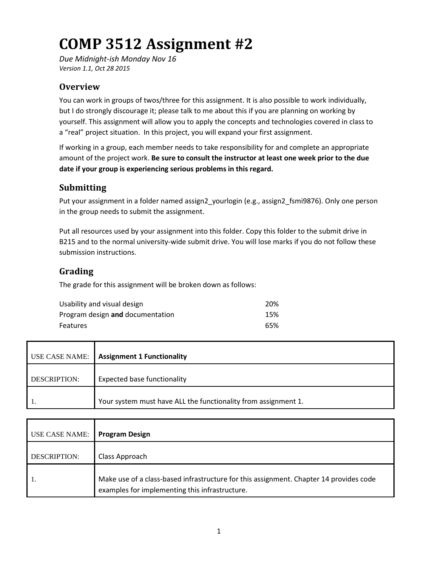# **COMP 3512 Assignment #2**

*Due Midnight-ish Monday Nov 16 Version 1.1, Oct 28 2015*

### **Overview**

You can work in groups of twos/three for this assignment. It is also possible to work individually, but I do strongly discourage it; please talk to me about this if you are planning on working by yourself. This assignment will allow you to apply the concepts and technologies covered in class to a "real" project situation. In this project, you will expand your first assignment.

If working in a group, each member needs to take responsibility for and complete an appropriate amount of the project work. **Be sure to consult the instructor at least one week prior to the due date if your group is experiencing serious problems in this regard.**

### **Submitting**

Put your assignment in a folder named assign2\_yourlogin (e.g., assign2\_fsmi9876). Only one person in the group needs to submit the assignment.

Put all resources used by your assignment into this folder. Copy this folder to the submit drive in B215 and to the normal university-wide submit drive. You will lose marks if you do not follow these submission instructions.

## **Grading**

The grade for this assignment will be broken down as follows:

| Usability and visual design      | 20% |
|----------------------------------|-----|
| Program design and documentation | 15% |
| <b>Features</b>                  | 65% |

| USE CASE NAME: | <b>Assignment 1 Functionality</b>                              |
|----------------|----------------------------------------------------------------|
| DESCRIPTION:   | <b>Expected base functionality</b>                             |
|                | Your system must have ALL the functionality from assignment 1. |

| USE CASE NAME:      | <b>Program Design</b>                                                                                                                    |
|---------------------|------------------------------------------------------------------------------------------------------------------------------------------|
| <b>DESCRIPTION:</b> | Class Approach                                                                                                                           |
|                     | Make use of a class-based infrastructure for this assignment. Chapter 14 provides code<br>examples for implementing this infrastructure. |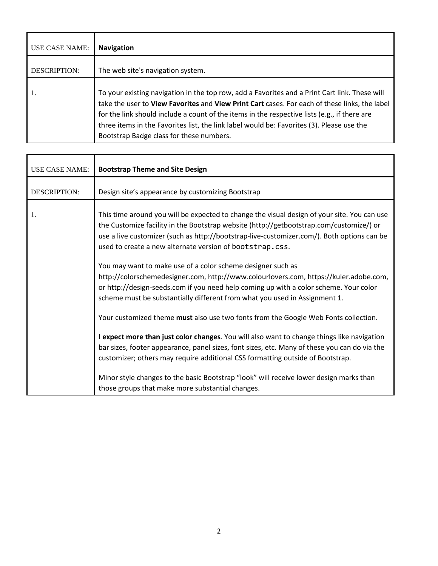| USE CASE NAME: | <b>Navigation</b>                                                                                                                                                                                                                                                                                                                                                                                                                       |
|----------------|-----------------------------------------------------------------------------------------------------------------------------------------------------------------------------------------------------------------------------------------------------------------------------------------------------------------------------------------------------------------------------------------------------------------------------------------|
| DESCRIPTION:   | The web site's navigation system.                                                                                                                                                                                                                                                                                                                                                                                                       |
| 1.             | To your existing navigation in the top row, add a Favorites and a Print Cart link. These will<br>take the user to View Favorites and View Print Cart cases. For each of these links, the label<br>for the link should include a count of the items in the respective lists (e.g., if there are<br>three items in the Favorites list, the link label would be: Favorites (3). Please use the<br>Bootstrap Badge class for these numbers. |

| <b>USE CASE NAME:</b> | <b>Bootstrap Theme and Site Design</b>                                                                                                                                                                                                                                                                                                                              |
|-----------------------|---------------------------------------------------------------------------------------------------------------------------------------------------------------------------------------------------------------------------------------------------------------------------------------------------------------------------------------------------------------------|
| <b>DESCRIPTION:</b>   | Design site's appearance by customizing Bootstrap                                                                                                                                                                                                                                                                                                                   |
| 1.                    | This time around you will be expected to change the visual design of your site. You can use<br>the Customize facility in the Bootstrap website (http://getbootstrap.com/customize/) or<br>use a live customizer (such as http://bootstrap-live-customizer.com/). Both options can be<br>used to create a new alternate version of bootstrap.css.                    |
|                       | You may want to make use of a color scheme designer such as<br>http://colorschemedesigner.com, http://www.colourlovers.com, https://kuler.adobe.com,<br>or http://design-seeds.com if you need help coming up with a color scheme. Your color<br>scheme must be substantially different from what you used in Assignment 1.                                         |
|                       | Your customized theme must also use two fonts from the Google Web Fonts collection.<br>I expect more than just color changes. You will also want to change things like navigation<br>bar sizes, footer appearance, panel sizes, font sizes, etc. Many of these you can do via the<br>customizer; others may require additional CSS formatting outside of Bootstrap. |
|                       | Minor style changes to the basic Bootstrap "look" will receive lower design marks than<br>those groups that make more substantial changes.                                                                                                                                                                                                                          |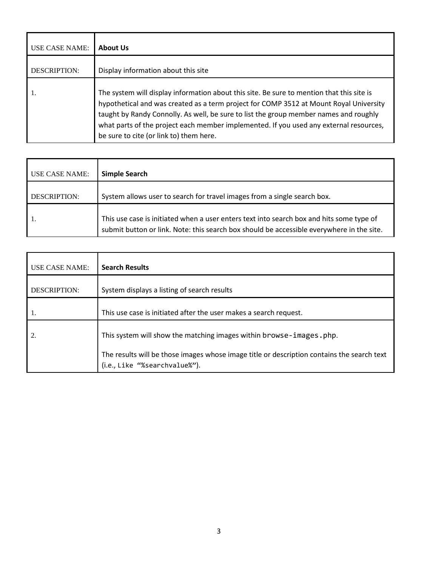| USE CASE NAME: | <b>About Us</b>                                                                                                                                                                                                                                                                                                                                                                                                   |
|----------------|-------------------------------------------------------------------------------------------------------------------------------------------------------------------------------------------------------------------------------------------------------------------------------------------------------------------------------------------------------------------------------------------------------------------|
| DESCRIPTION:   | Display information about this site                                                                                                                                                                                                                                                                                                                                                                               |
| 1.             | The system will display information about this site. Be sure to mention that this site is<br>hypothetical and was created as a term project for COMP 3512 at Mount Royal University<br>taught by Randy Connolly. As well, be sure to list the group member names and roughly<br>what parts of the project each member implemented. If you used any external resources,<br>be sure to cite (or link to) them here. |

| <b>USE CASE NAME:</b> | Simple Search                                                                                                                                                                         |
|-----------------------|---------------------------------------------------------------------------------------------------------------------------------------------------------------------------------------|
| <b>DESCRIPTION:</b>   | System allows user to search for travel images from a single search box.                                                                                                              |
|                       | This use case is initiated when a user enters text into search box and hits some type of<br>submit button or link. Note: this search box should be accessible everywhere in the site. |

| <b>USE CASE NAME:</b> | <b>Search Results</b>                                                                                                       |
|-----------------------|-----------------------------------------------------------------------------------------------------------------------------|
| <b>DESCRIPTION:</b>   | System displays a listing of search results                                                                                 |
|                       | This use case is initiated after the user makes a search request.                                                           |
|                       | This system will show the matching images within browse-images.php.                                                         |
|                       | The results will be those images whose image title or description contains the search text<br>(i.e., Like "%searchvalue%"). |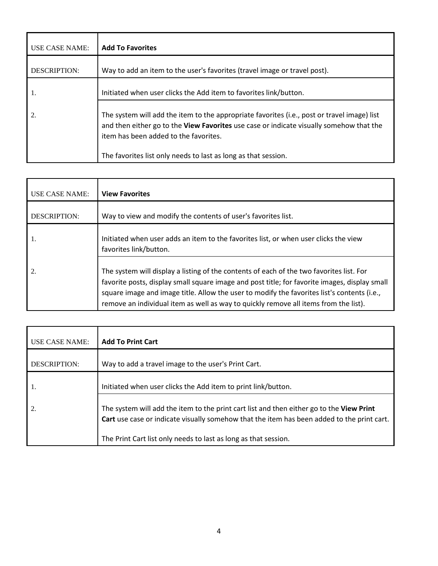| <b>USE CASE NAME:</b> | <b>Add To Favorites</b>                                                                                                                                                                                                         |
|-----------------------|---------------------------------------------------------------------------------------------------------------------------------------------------------------------------------------------------------------------------------|
| <b>DESCRIPTION:</b>   | Way to add an item to the user's favorites (travel image or travel post).                                                                                                                                                       |
| 1.                    | Initiated when user clicks the Add item to favorites link/button.                                                                                                                                                               |
| 2.                    | The system will add the item to the appropriate favorites (i.e., post or travel image) list<br>and then either go to the View Favorites use case or indicate visually somehow that the<br>item has been added to the favorites. |
|                       | The favorites list only needs to last as long as that session.                                                                                                                                                                  |

| <b>USE CASE NAME:</b> | <b>View Favorites</b>                                                                                                                                                                                                                                                                                                                                                            |
|-----------------------|----------------------------------------------------------------------------------------------------------------------------------------------------------------------------------------------------------------------------------------------------------------------------------------------------------------------------------------------------------------------------------|
| <b>DESCRIPTION:</b>   | Way to view and modify the contents of user's favorites list.                                                                                                                                                                                                                                                                                                                    |
| 1.                    | Initiated when user adds an item to the favorites list, or when user clicks the view<br>favorites link/button.                                                                                                                                                                                                                                                                   |
| 2.                    | The system will display a listing of the contents of each of the two favorites list. For<br>favorite posts, display small square image and post title; for favorite images, display small<br>square image and image title. Allow the user to modify the favorites list's contents (i.e.,<br>remove an individual item as well as way to quickly remove all items from the list). |

| <b>USE CASE NAME:</b> | <b>Add To Print Cart</b>                                                                                                                                                               |
|-----------------------|----------------------------------------------------------------------------------------------------------------------------------------------------------------------------------------|
| <b>DESCRIPTION:</b>   | Way to add a travel image to the user's Print Cart.                                                                                                                                    |
| 1.                    | Initiated when user clicks the Add item to print link/button.                                                                                                                          |
|                       | The system will add the item to the print cart list and then either go to the View Print<br>Cart use case or indicate visually somehow that the item has been added to the print cart. |
|                       | The Print Cart list only needs to last as long as that session.                                                                                                                        |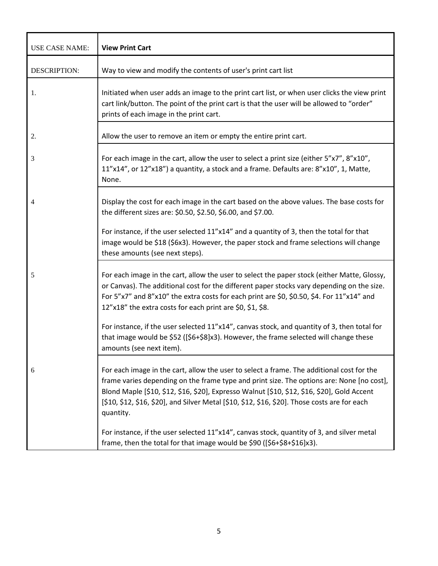| <b>USE CASE NAME:</b> | <b>View Print Cart</b>                                                                                                                                                                                                                                                                                                                                                                              |
|-----------------------|-----------------------------------------------------------------------------------------------------------------------------------------------------------------------------------------------------------------------------------------------------------------------------------------------------------------------------------------------------------------------------------------------------|
| <b>DESCRIPTION:</b>   | Way to view and modify the contents of user's print cart list                                                                                                                                                                                                                                                                                                                                       |
| 1.                    | Initiated when user adds an image to the print cart list, or when user clicks the view print<br>cart link/button. The point of the print cart is that the user will be allowed to "order"<br>prints of each image in the print cart.                                                                                                                                                                |
| 2.                    | Allow the user to remove an item or empty the entire print cart.                                                                                                                                                                                                                                                                                                                                    |
| 3                     | For each image in the cart, allow the user to select a print size (either 5"x7", 8"x10",<br>11"x14", or 12"x18") a quantity, a stock and a frame. Defaults are: 8"x10", 1, Matte,<br>None.                                                                                                                                                                                                          |
| 4                     | Display the cost for each image in the cart based on the above values. The base costs for<br>the different sizes are: \$0.50, \$2.50, \$6.00, and \$7.00.                                                                                                                                                                                                                                           |
|                       | For instance, if the user selected 11"x14" and a quantity of 3, then the total for that<br>image would be \$18 (\$6x3). However, the paper stock and frame selections will change<br>these amounts (see next steps).                                                                                                                                                                                |
| -5                    | For each image in the cart, allow the user to select the paper stock (either Matte, Glossy,<br>or Canvas). The additional cost for the different paper stocks vary depending on the size.<br>For 5"x7" and 8"x10" the extra costs for each print are \$0, \$0.50, \$4. For 11"x14" and<br>12"x18" the extra costs for each print are \$0, \$1, \$8.                                                 |
|                       | For instance, if the user selected 11"x14", canvas stock, and quantity of 3, then total for<br>that image would be \$52 ([\$6+\$8]x3). However, the frame selected will change these<br>amounts (see next item).                                                                                                                                                                                    |
| 6                     | For each image in the cart, allow the user to select a frame. The additional cost for the<br>frame varies depending on the frame type and print size. The options are: None [no cost],<br>Blond Maple [\$10, \$12, \$16, \$20], Expresso Walnut [\$10, \$12, \$16, \$20], Gold Accent<br>[\$10, \$12, \$16, \$20], and Silver Metal [\$10, \$12, \$16, \$20]. Those costs are for each<br>quantity. |
|                       | For instance, if the user selected 11"x14", canvas stock, quantity of 3, and silver metal<br>frame, then the total for that image would be \$90 ([\$6+\$8+\$16]x3).                                                                                                                                                                                                                                 |